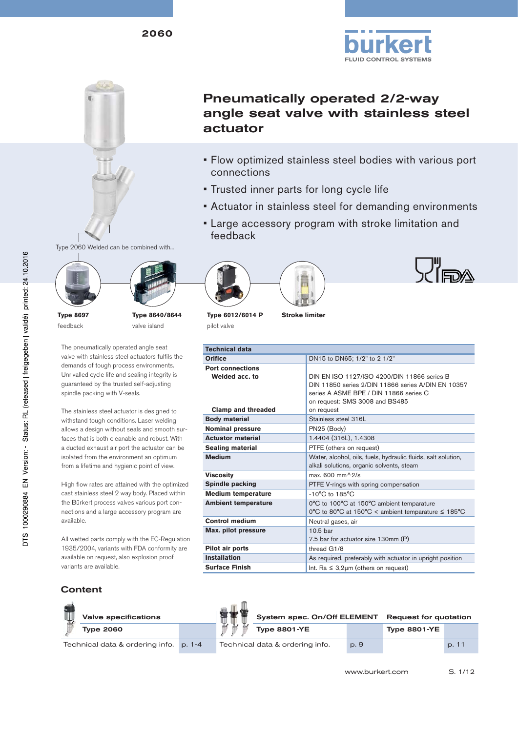

**LU"**<br>Teda

## Pneumatically operated 2/2-way angle seat valve with stainless steel actuator

- Flow optimized stainless steel bodies with various port connections
- Trusted inner parts for long cycle life
- Actuator in stainless steel for demanding environments
- Large accessory program with stroke limitation and feedback



Type 2060 Welded can be combined with...

**Type 8697** feedback

**Type 8640/8644** valve island

The pneumatically operated angle seat valve with stainless steel actuators fulfils the demands of tough process environments. Unrivalled cycle life and sealing integrity is guaranteed by the trusted self-adjusting spindle packing with V-seals.

The stainless steel actuator is designed to withstand tough conditions. Laser welding allows a design without seals and smooth surfaces that is both cleanable and robust. With a ducted exhaust air port the actuator can be isolated from the environment an optimum from a lifetime and hygienic point of view.

High flow rates are attained with the optimized cast stainless steel 2 way body. Placed within the Bürkert process valves various port connections and a large accessory program are available.

All wetted parts comply with the EC-Regulation 1935/2004, variants with FDA conformity are available on request, also explosion proof variants are available.

### **Stroke limiter Technical data Orifice** DN15 to DN65; 1/2" to 2 1/2" **Port connections Welded acc. to Clamp and threaded** DIN EN ISO 1127/ISO 4200/DIN 11866 series B DIN 11850 series 2/DIN 11866 series A/DIN EN 10357 series A ASME BPE / DIN 11866 series C on request: SMS 3008 and BS485 on request **Type 6012/6014 P** pilot valve

|                            | 011 10000000 01110 0000 and DO 100                                                                         |
|----------------------------|------------------------------------------------------------------------------------------------------------|
| <b>Clamp and threaded</b>  | on request                                                                                                 |
| <b>Body material</b>       | Stainless steel 316L                                                                                       |
| <b>Nominal pressure</b>    | PN25 (Body)                                                                                                |
| <b>Actuator material</b>   | 1.4404 (316L), 1.4308                                                                                      |
| Sealing material           | PTFE (others on request)                                                                                   |
| <b>Medium</b>              | Water, alcohol, oils, fuels, hydraulic fluids, salt solution,<br>alkali solutions, organic solvents, steam |
| Viscositv                  | max. 600 mm <sup><math>\lambda</math></sup> 2/s                                                            |
| Spindle packing            | PTFE V-rings with spring compensation                                                                      |
| <b>Medium temperature</b>  | $-10^{\circ}$ C to $185^{\circ}$ C                                                                         |
| <b>Ambient temperature</b> | 0°C to 100°C at 150°C ambient temparature<br>0°C to 80°C at 150°C < ambient temparature $\leq$ 185°C       |
| <b>Control medium</b>      | Neutral gases, air                                                                                         |
| Max. pilot pressure        | 10.5 bar<br>7.5 bar for actuator size 130mm (P)                                                            |
| Pilot air ports            | thread G1/8                                                                                                |
| <b>Installation</b>        | As required, preferably with actuator in upright position                                                  |
| <b>Surface Finish</b>      | Int. Ra $\leq 3,2\mu m$ (others on request)                                                                |

## **Content**



Technical data & ordering info. p. 1-4

| System spec. On/Off ELEMENT     |      | <b>Request for quotation</b> |       |
|---------------------------------|------|------------------------------|-------|
| <b>Type 8801-YE</b>             |      | <b>Type 8801-YE</b>          |       |
| Technical data & ordering info. | p. 9 |                              | p. 11 |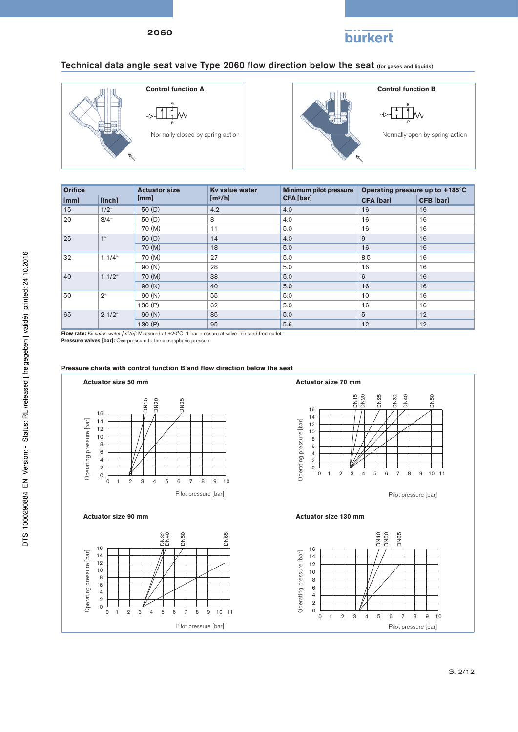# **burkert**

## Technical data angle seat valve Type 2060 flow direction below the seat (for gases and liquids)





 $\overset{\tiny{\text{B}}}{\mathbf{\perp}}$ w

| <b>Orifice</b>  |                | <b>Actuator size</b> | Ky value water      | <b>Minimum pilot pressure</b> | Operating pressure up to +185°C |                  |  |
|-----------------|----------------|----------------------|---------------------|-------------------------------|---------------------------------|------------------|--|
| [mm]            | [inch]         | [mm]                 | [m <sup>3</sup> /h] | <b>CFA</b> [bar]              | <b>CFA</b> [bar]                | <b>CFB</b> [bar] |  |
| 15 <sub>1</sub> | $1/2^u$        | 50(D)                | 4.2                 | 4.0                           | 16                              | 16               |  |
| 20              | $3/4$ "        | 50(D)                | 8                   | 4.0                           | 16                              | 16               |  |
|                 |                | 70 (M)               | 11                  | 5.0                           | 16                              | 16               |  |
| 25              | 1 <sup>u</sup> | 50(D)                | 14                  | 4.0                           | 9                               | 16               |  |
|                 |                | 70 (M)               | 18                  | 5.0                           | 16                              | 16               |  |
| 32              | $11/4$ "       | 70 (M)               | 27                  | 5.0                           | 8.5                             | 16               |  |
|                 |                | 90 (N)               | 28                  | 5.0                           | 16                              | 16               |  |
| 40              | $11/2$ "       | 70 (M)               | 38                  | 5.0                           | 6                               | 16               |  |
|                 |                | 90(N)                | 40                  | 5.0                           | 16                              | 16               |  |
| 50              | 2 <sup>u</sup> | 90 (N)               | 55                  | 5.0                           | 10                              | 16               |  |
|                 |                | 130 (P)              | 62                  | 5.0                           | 16                              | 16               |  |
| 65              | $21/2$ "       | 90(N)                | 85                  | 5.0                           | 5                               | 12               |  |
|                 |                | 130(P)               | 95                  | 5.6                           | 12                              | 12               |  |

**Flow rate:** *Kv value water [m3/h]:* Measured at +20°C, 1 bar pressure at valve inlet and free outlet.

**Pressure valves [bar]:** Overpressure to the atmospheric pressure



### Pressure charts with control function B and flow direction below the seat

Pilot pressure [bar]

Pilot pressure [bar]

S. 2/12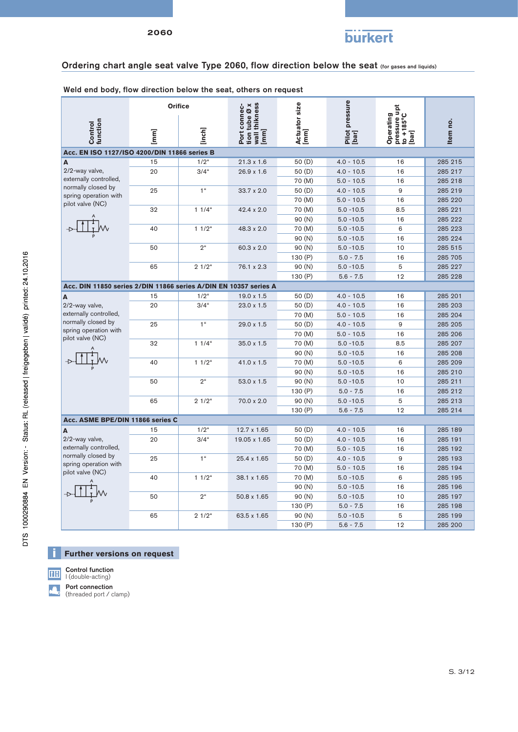

## Ordering chart angle seat valve Type 2060, flow direction below the seat (for gases and liquids)

Weld end body, flow direction below the seat, others on request

|                                                                  |             | <b>Orifice</b>    |                                                                    |                       |                         |                                                                       |          |
|------------------------------------------------------------------|-------------|-------------------|--------------------------------------------------------------------|-----------------------|-------------------------|-----------------------------------------------------------------------|----------|
| function<br>Control                                              | $\boxed{m}$ | [inch]            | wall thikness<br> mm]<br>tion tube $\varnothing$ x<br>Port connec- | Actuator size<br>[mm] | Pilot pressure<br>[bar] | pressure upt<br>Operating<br>$\frac{1}{2}$<br>to +185°C $\frac{1}{2}$ | Item no. |
| Acc. EN ISO 1127/ISO 4200/DIN 11866 series B                     |             |                   |                                                                    |                       |                         |                                                                       |          |
| A                                                                | 15          | $1/2^u$           | $21.3 \times 1.6$                                                  | 50(D)                 | $4.0 - 10.5$            | 16                                                                    | 285 215  |
| 2/2-way valve,                                                   | 20          | $3/4$ "           | $26.9 \times 1.6$                                                  | 50(D)                 | $4.0 - 10.5$            | 16                                                                    | 285 217  |
| externally controlled,                                           |             |                   |                                                                    | 70 (M)                | $5.0 - 10.5$            | 16                                                                    | 285 218  |
| normally closed by                                               | 25          | 1 <sup>u</sup>    | $33.7 \times 2.0$                                                  | 50(D)                 | $4.0 - 10.5$            | 9                                                                     | 285 219  |
| spring operation with<br>pilot valve (NC)                        |             |                   |                                                                    | 70 (M)                | $5.0 - 10.5$            | 16                                                                    | 285 220  |
|                                                                  | 32          | $11/4$ "          | $42.4 \times 2.0$                                                  | 70 (M)                | $5.0 - 10.5$            | 8.5                                                                   | 285 221  |
|                                                                  |             |                   |                                                                    | 90(N)                 | $5.0 - 10.5$            | 16                                                                    | 285 222  |
|                                                                  | 40          | $11/2$ "          | 48.3 x 2.0                                                         | 70 (M)                | $5.0 - 10.5$            | 6                                                                     | 285 223  |
|                                                                  |             |                   |                                                                    | 90(N)                 | $5.0 - 10.5$            | 16                                                                    | 285 224  |
|                                                                  | 50          | $2^{\mu}$         | $60.3 \times 2.0$                                                  | 90(N)                 | $5.0 - 10.5$            | 10                                                                    | 285 515  |
|                                                                  |             |                   |                                                                    | 130 (P)               | $5.0 - 7.5$             | 16                                                                    | 285 705  |
|                                                                  | 65          | $21/2$ "          | 76.1 x 2.3                                                         | 90(N)                 | $5.0 - 10.5$            | 5                                                                     | 285 227  |
|                                                                  |             |                   |                                                                    | 130 (P)               | $5.6 - 7.5$             | 12                                                                    | 285 228  |
| Acc. DIN 11850 series 2/DIN 11866 series A/DIN EN 10357 series A |             |                   |                                                                    |                       |                         |                                                                       |          |
| A                                                                | 15          | $1/2^u$           | $19.0 \times 1.5$                                                  | 50(D)                 | $4.0 - 10.5$            | 16                                                                    | 285 201  |
| 2/2-way valve,                                                   | 20          | $3/4$ "           | $23.0 \times 1.5$                                                  | 50(D)                 | $4.0 - 10.5$            | 16                                                                    | 285 203  |
| externally controlled,                                           |             |                   |                                                                    | 70 (M)                | $5.0 - 10.5$            | 16                                                                    | 285 204  |
| normally closed by                                               | 25          | 1 <sup>u</sup>    | $29.0 \times 1.5$                                                  | 50(D)                 | $4.0 - 10.5$            | 9                                                                     | 285 205  |
| spring operation with                                            |             |                   |                                                                    | 70 (M)                | $5.0 - 10.5$            | 16                                                                    | 285 206  |
| pilot valve (NC)                                                 | 32          | $11/4$ "          | $35.0 \times 1.5$                                                  | 70 (M)                | $5.0 - 10.5$            | 8.5                                                                   | 285 207  |
|                                                                  |             |                   |                                                                    | 90(N)                 | $5.0 - 10.5$            | 16                                                                    | 285 208  |
|                                                                  | 40          | 11/2 <sup>u</sup> | 41.0 x 1.5                                                         | 70 (M)                | $5.0 - 10.5$            | 6                                                                     | 285 209  |
|                                                                  |             |                   |                                                                    | 90(N)                 | $5.0 - 10.5$            | 16                                                                    | 285 210  |
|                                                                  | 50          | $2^{\mu}$         | 53.0 x 1.5                                                         | 90(N)                 | $5.0 - 10.5$            | 10                                                                    | 285 211  |
|                                                                  |             |                   |                                                                    | 130 (P)               | $5.0 - 7.5$             | 16                                                                    | 285 212  |
|                                                                  | 65          | $21/2$ "          | 70.0 x 2.0                                                         | 90 (N)                | $5.0 - 10.5$            | 5                                                                     | 285 213  |
|                                                                  |             |                   |                                                                    | 130 (P)               | $5.6 - 7.5$             | 12                                                                    | 285 214  |
| Acc. ASME BPE/DIN 11866 series C                                 |             |                   |                                                                    |                       |                         |                                                                       |          |
| A                                                                | 15          | $1/2^u$           | 12.7 x 1.65                                                        | 50(D)                 | $4.0 - 10.5$            | 16                                                                    | 285 189  |
| 2/2-way valve,                                                   | 20          | $3/4$ "           | 19.05 x 1.65                                                       | 50(D)                 | $4.0 - 10.5$            | 16                                                                    | 285 191  |
| externally controlled,                                           |             |                   |                                                                    | 70 (M)                | $5.0 - 10.5$            | 16                                                                    | 285 192  |
| normally closed by                                               | 25          | 1 <sup>u</sup>    | 25.4 x 1.65                                                        | 50(D)                 | $4.0 - 10.5$            | 9                                                                     | 285 193  |
| spring operation with<br>pilot valve (NC)                        |             |                   |                                                                    | 70 (M)                | $5.0 - 10.5$            | 16                                                                    | 285 194  |
|                                                                  | 40          | $11/2$ "          | 38.1 x 1.65                                                        | 70 (M)                | $5.0 - 10.5$            | 6                                                                     | 285 195  |
|                                                                  |             |                   |                                                                    | 90(N)                 | $5.0 - 10.5$            | 16                                                                    | 285 196  |
|                                                                  | 50          | $2^{\mu}$         | 50.8 x 1.65                                                        | 90 (N)                | $5.0 - 10.5$            | 10                                                                    | 285 197  |
|                                                                  |             |                   |                                                                    | 130 (P)               | $5.0 - 7.5$             | 16                                                                    | 285 198  |
|                                                                  | 65          | $21/2$ "          | 63.5 x 1.65                                                        | 90 (N)                | $5.0 - 10.5$            | 5                                                                     | 285 199  |
|                                                                  |             |                   |                                                                    | 130 (P)               | $5.6 - 7.5$             | 12                                                                    | 285 200  |

## **EXECUTE: Further versions on request**

Control function 田 I (double-acting)  $\sqrt{ }$ Port connection

(threaded port / clamp)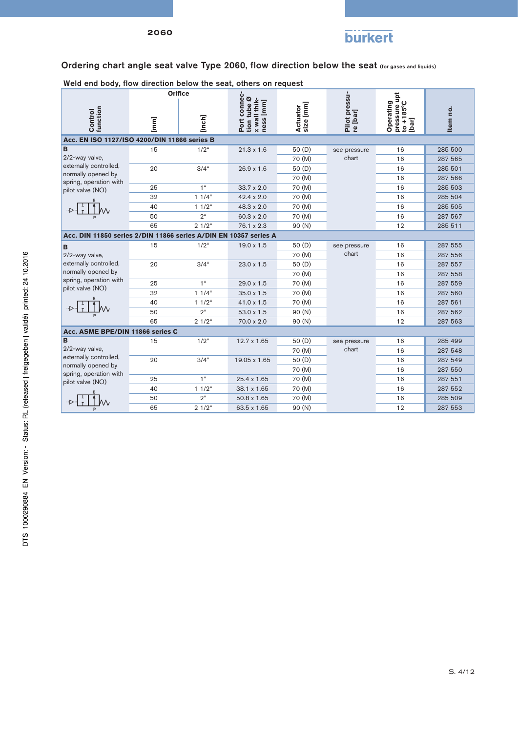

## Ordering chart angle seat valve Type 2060, flow direction below the seat (for gases and liquids)

Weld end body, flow direction below the seat, others on request

|                                                                  |                 | <b>Orifice</b>      |                                                          |                       |                           |                                                          |          |
|------------------------------------------------------------------|-----------------|---------------------|----------------------------------------------------------|-----------------------|---------------------------|----------------------------------------------------------|----------|
| Control<br>function                                              | $[\mathsf{mm}]$ | [inch]              | Port connec-<br>tion tube Ø<br>x wall thik-<br>ness [mm] | Actuator<br>size [mm] | Pilot pressu-<br>re [bar] | pressure upt<br>to +185°C<br>Operating<br>to +1<br>[har] | Item no. |
| Acc. EN ISO 1127/ISO 4200/DIN 11866 series B                     |                 |                     |                                                          |                       |                           |                                                          |          |
| B                                                                | 15              | $1/2^u$             | $21.3 \times 1.6$                                        | 50(D)                 | see pressure              | 16                                                       | 285 500  |
| 2/2-way valve,                                                   |                 |                     |                                                          | 70 (M)                | chart                     | 16                                                       | 287 565  |
| externally controlled,                                           | 20              | $3/4$ "             | $26.9 \times 1.6$                                        | 50(D)                 |                           | 16                                                       | 285 501  |
| normally opened by<br>spring, operation with                     |                 |                     |                                                          | 70 (M)                |                           | 16                                                       | 287 566  |
| pilot valve (NO)                                                 | 25              | 1 <sup>u</sup>      | $33.7 \times 2.0$                                        | 70 (M)                |                           | 16                                                       | 285 503  |
|                                                                  | 32              | $11/4$ "            | 42.4 x 2.0                                               | 70 (M)                |                           | 16                                                       | 285 504  |
|                                                                  | 40              | $11/2$ "            | 48.3 x 2.0                                               | 70 (M)                |                           | 16                                                       | 285 505  |
|                                                                  | 50              | $2^{\mu}$           | 60.3 x 2.0                                               | 70 (M)                |                           | 16                                                       | 287 567  |
|                                                                  | 65              | $21/2$ "            | 76.1 x 2.3                                               | 90 (N)                |                           | 12                                                       | 285 511  |
| Acc. DIN 11850 series 2/DIN 11866 series A/DIN EN 10357 series A |                 |                     |                                                          |                       |                           |                                                          |          |
| B                                                                | 15              | $1/2^u$             | 19.0 x 1.5                                               | 50(D)                 | see pressure<br>chart     | 16                                                       | 287 555  |
| 2/2-way valve.                                                   |                 |                     |                                                          | 70 (M)                |                           | 16                                                       | 287 556  |
| externally controlled,                                           | 20              | $3/4$ "             | $23.0 \times 1.5$                                        | 50(D)                 |                           | 16                                                       | 287 557  |
| normally opened by                                               |                 |                     |                                                          | 70 (M)                |                           | 16                                                       | 287 558  |
| spring, operation with<br>pilot valve (NO)                       | 25              | 1 <sup>u</sup>      | 29.0 x 1.5                                               | 70 (M)                |                           | 16                                                       | 287 559  |
|                                                                  | 32              | $11/4$ "            | 35.0 x 1.5                                               | 70 (M)                |                           | 16                                                       | 287 560  |
|                                                                  | 40              | $11/2$ <sup>"</sup> | 41.0 x 1.5                                               | 70 (M)                |                           | 16                                                       | 287 561  |
|                                                                  | 50              | $2^{\mu}$           | 53.0 x 1.5                                               | 90 (N)                |                           | 16                                                       | 287 562  |
|                                                                  | 65              | $21/2$ "            | 70.0 x 2.0                                               | 90(N)                 |                           | 12                                                       | 287 563  |
| Acc. ASME BPE/DIN 11866 series C                                 |                 |                     |                                                          |                       |                           |                                                          |          |
| B                                                                | 15              | $1/2^u$             | 12.7 x 1.65                                              | 50(D)                 | see pressure              | 16                                                       | 285 499  |
| 2/2-way valve,                                                   |                 |                     |                                                          | 70 (M)                | chart                     | 16                                                       | 287 548  |
| externally controlled,                                           | 20              | $3/4$ "             | 19.05 x 1.65                                             | 50(D)                 |                           | 16                                                       | 287 549  |
| normally opened by<br>spring, operation with                     |                 |                     |                                                          | 70 (M)                |                           | 16                                                       | 287 550  |
| pilot valve (NO)                                                 | 25              | 1 <sup>u</sup>      | 25.4 x 1.65                                              | 70 (M)                |                           | 16                                                       | 287 551  |
|                                                                  | 40              | 11/2 <sup>u</sup>   | 38.1 x 1.65                                              | 70 (M)                |                           | 16                                                       | 287 552  |
|                                                                  | 50              | $2^{\mu}$           | 50.8 x 1.65                                              | 70 (M)                |                           | 16                                                       | 285 509  |
|                                                                  | 65              | $21/2$ "            | 63.5 x 1.65                                              | 90(N)                 |                           | 12                                                       | 287 553  |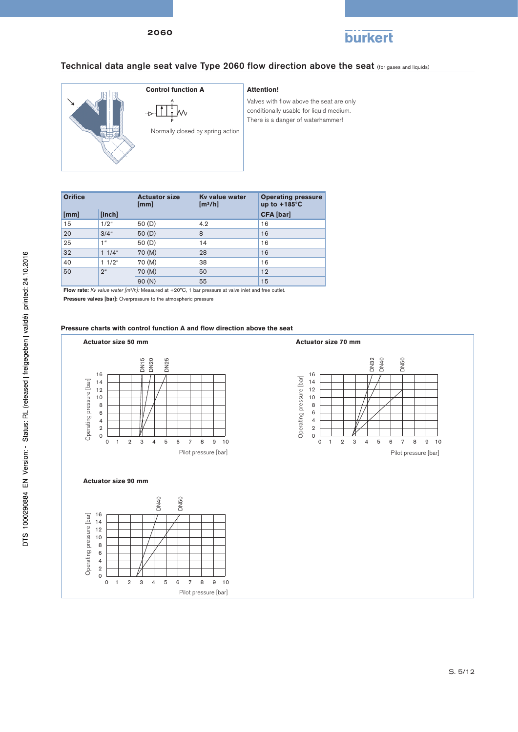

## Technical data angle seat valve Type 2060 flow direction above the seat (for gases and liquids)



Valves with flow above the seat are only conditionally usable for liquid medium. There is a danger of waterhammer!

| <b>Orifice</b> |      |                     | <b>Actuator size</b><br>[mm] | Ky value water<br>[m <sup>3</sup> /h] | <b>Operating pressure</b><br>up to $+185^{\circ}$ C |  |  |
|----------------|------|---------------------|------------------------------|---------------------------------------|-----------------------------------------------------|--|--|
|                | [mm] | [inch]              |                              |                                       | <b>CFA</b> [bar]                                    |  |  |
|                | 15   | $1/2^u$             | 50(D)                        | 4.2                                   | 16                                                  |  |  |
|                | 20   | $3/4$ "             | 50(D)                        | 8                                     | 16                                                  |  |  |
|                | 25   | 1 <sup>u</sup>      | 50(D)                        | 14                                    | 16                                                  |  |  |
|                | 32   | $11/4$ "            | 70 (M)                       | 28                                    | 16                                                  |  |  |
|                | 40   | $11/2$ <sup>"</sup> | 70 (M)                       | 38                                    | 16                                                  |  |  |
|                | 50   | 2 <sup>u</sup>      | 70 (M)                       | 50                                    | 12                                                  |  |  |
|                |      |                     | 90(N)                        | 55                                    | 15                                                  |  |  |

**Flow rate:** *Kv value water [m3/h]:* Measured at +20°C, 1 bar pressure at valve inlet and free outlet.

**Pressure valves [bar]:** Overpressure to the atmospheric pressure

2 0

## Pressure charts with control function A and flow direction above the seat

Pilot pressure [bar]

#### **Actuator size 50 mm Actuator size 70 mm** 0 1 2 3 4 5 6 7 8 9 10 DN32 DN40 DN50  $\begin{array}{r} \n 0.753 \overline{0.7} \overline{0.7} \overline{0.7} \overline{0.7} \end{array}$ <br>
0 1 2 3 4 5 6 7 8 9 10 16 16 Operating pressure [bar] Operating pressure [bar] Operating pressure [bar] 14 Operating pressure [bar] 14 12 12 10 10 8 8 6 6 4 4  $\frac{1}{2}$ 2 0 0 Pilot pressure [bar] Pilot pressure [bar] **Actuator size 90 mm** 0 1 2 3 4 5 6 7 8 9 10 DN40 DN50 16 Operating pressure [bar] Operating pressure [bar] 14 12 10 8 6 4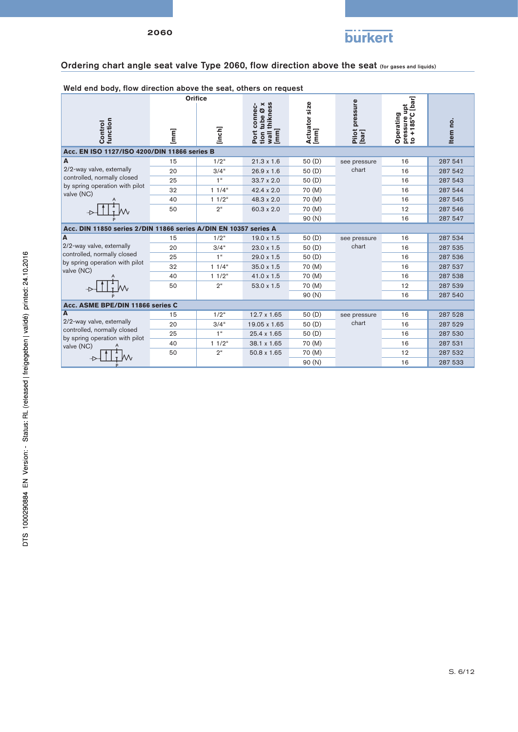

## Ordering chart angle seat valve Type 2060, flow direction above the seat (for gases and liquids)

#### Weld end body, flow direction above the seat, others on request Operating<br>pressure upt<br>to +185°C [bar] **Orifice [mm] to +185°C [bar]** Port connec-<br>tion tube Ø x<br>wall thikness<br>[mm] **[bar] Pilot pressure wall thikness Actuator size tion tube Ø x pressure upt Port connec-Operating Control function** Item no. **Item no. [inch] [mm] Acc. EN ISO 1127/ISO 4200/DIN 11866 series B** 15 1/2" 21.3 x 1.6 50 (D) see pressure 16 287 541 **A** 2/2-way valve, externally chart 20 | 3/4" 26.9 x 1.6 50 (D) chart 16 | 287 542 controlled, normally closed 25 1 1 33.7 x 2.0 50 (D) 16 287 543 by spring operation with pilot 32 | 1 1/4" 42.4 x 2.0 70 (M) 16 | 287 544 valve (NC) 40 | 1 1/2" 48.3 x 2.0 70 (M) 16 | 287 545 T Ιw. 50 2" 60.3 x 2.0 70 (M) 12 287 546  $\rightarrow$ 90 (N) 16 287 547 **Acc. DIN 11850 series 2/DIN 11866 series A/DIN EN 10357 series A** 15 1/2" 19.0 x 1.5 50 (D) see pressure **A** 16 287 534 2/2-way valve, externally chart 20 | 3/4" 23.0 x 1.5 50 (D) chart 16 | 287 535 controlled, normally closed 25 1" 29.0 x 1.5 50 (D) 16 287 536 by spring operation with pilot 32 | 1 1/4" 35.0 x 1.5 70 (M) 16 | 287 537 valve (NC) 40 | 1 1/2" 41.0 x 1.5 70 (M) 16 | 287 538 50 2" 53.0 x 1.5 70 (M) 12 287 539  $\overline{D}$ Λ. 90 (N) 16 287 540 **Acc. ASME BPE/DIN 11866 series C A** 15 1/2" 12.7 x 1.65 50 (D) see pressure 16 287 528 2/2-way valve, externally 20 3/4" 19.05 x 1.65 50 (D) chart 16 287 529 chart controlled, normally closed 25 1<sup>"</sup> 25.4 x 1.65 50 (D) 16 287 530 by spring operation with pilot 40 1 1/2<sup>"</sup> 38.1 x 1.65 70 (M) 16 16 287 531 valve (NC) 50 2<sup>"</sup> 50.8 x 1.65 70 (M) 12 287 532 Ť *W* .Ь 90 (N) 16 287 533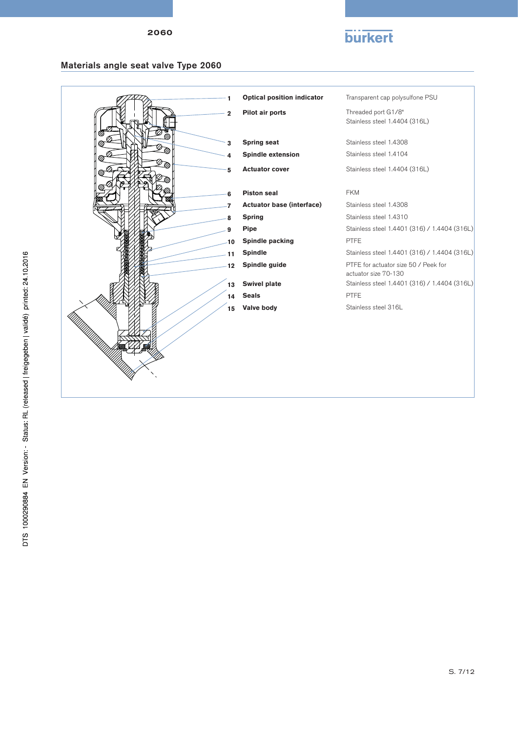## **burkert**

## Materials angle seat valve Type 2060

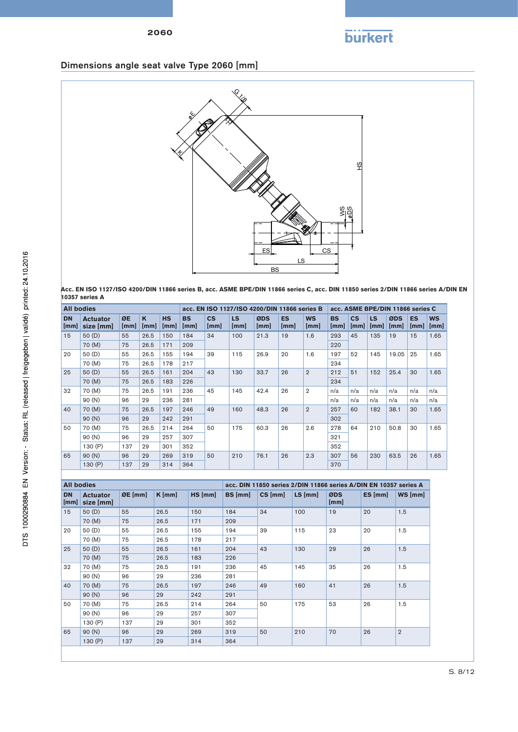# **burkert**

## Dimensions angle seat valve Type 2060 [mm]



**Acc. EN ISO 1127/ISO 4200/DIN 11866 series B, acc. ASME BPE/DIN 11866 series C, acc. DIN 11850 series 2/DIN 11866 series A/DIN EN 10357 series A**

| <b>All bodies</b> |                              |            |           |                   |                   |                       |             | acc. EN ISO 1127/ISO 4200/DIN 11866 series B |                             |                   |                   |                       |                   | acc. ASME BPE/DIN 11866 series C |                   |                   |  |
|-------------------|------------------------------|------------|-----------|-------------------|-------------------|-----------------------|-------------|----------------------------------------------|-----------------------------|-------------------|-------------------|-----------------------|-------------------|----------------------------------|-------------------|-------------------|--|
| <b>DN</b><br>[mm] | <b>Actuator</b><br>size [mm] | ØE<br>[mm] | K<br>[mm] | <b>HS</b><br>[mm] | <b>BS</b><br>[mm] | $\mathsf{cs}$<br>[mm] | LS.<br>[mm] | ØDS<br>[mm]                                  | <b>ES</b><br>$\mathsf{mml}$ | <b>WS</b><br>[mm] | <b>BS</b><br>[mm] | $\mathsf{cs}$<br>[mm] | <b>LS</b><br>[mm] | ØDS<br>[mm]                      | <b>ES</b><br>[mm] | <b>WS</b><br>[mm] |  |
| 15                | 50 (D)                       | 55         | 26.5      | 150               | 184               | 34                    | 100         | 21.3                                         | 19                          | 1.6               | 293               | 45                    | 135               | 19                               | 15                | 1.65              |  |
|                   | 70 (M)                       | 75         | 26.5      | 171               | 209               |                       |             |                                              |                             |                   | 220               |                       |                   |                                  |                   |                   |  |
| 20                | 50 (D)                       | 55         | 26.5      | 155               | 194               | 39                    | 115         | 26.9                                         | 20                          | 1.6               | 197               | 52                    | 145               | 19.05                            | 25                | 1.65              |  |
|                   | 70 (M)                       | 75         | 26.5      | 178               | 217               |                       |             |                                              |                             |                   | 234               |                       |                   |                                  |                   |                   |  |
| 25                | 50(D)                        | 55         | 26.5      | 161               | 204               | 43                    | 130         | 33.7                                         | 26                          | $\overline{2}$    | 212               | 51                    | 152               | 25.4                             | 30                | 1.65              |  |
|                   | 70 (M)                       | 75         | 26.5      | 183               | 226               |                       |             |                                              |                             |                   |                   |                       | 234               |                                  |                   |                   |  |
| 32                | 70 (M)                       | 75         | 26.5      | 191               | 236               | 45                    | 145         | 42.4                                         | 26                          | $\overline{2}$    | n/a               | n/a                   | n/a               | n/a                              | n/a               | n/a               |  |
|                   | 90 (N)                       | 96         | 29        | 236               | 281               |                       |             |                                              |                             |                   | n/a               | n/a                   | n/a               | n/a                              | n/a               | n/a               |  |
| 40                | 70 (M)                       | 75         | 26.5      | 197               | 246               | 49                    | 160         | 48.3                                         | 26                          | $\overline{2}$    | 257               | 60                    | 182               | 38.1                             | 30                | 1.65              |  |
|                   | 90(N)                        | 96         | 29        | 242               | 291               |                       |             |                                              |                             |                   | 302               |                       |                   |                                  |                   |                   |  |
| 50                | 70 (M)                       | 75         | 26.5      | 214               | 264               | 50                    | 175         | 60.3                                         | 26                          | 2.6               | 278               | 64                    | 210               | 50.8                             | 30                | 1.65              |  |
|                   | 90 (N)                       | 96         | 29        | 257               | 307               |                       |             |                                              |                             |                   | 321               |                       |                   |                                  |                   |                   |  |
|                   | 130 (P)                      | 137        | 29        | 301               | 352               |                       |             |                                              |                             |                   | 352               |                       |                   |                                  |                   |                   |  |
| 65                | 90(N)                        | 96         | 29        | 269               | 319               | 50                    | 210         | 76.1                                         | 26                          | 2.3               | 307               | 56                    | 230               | 63.5                             | 26                | 1.65              |  |
|                   | 130 $(P)$                    | 137        | 29        | 314               | 364               |                       |             |                                              |                             |                   | 370               |                       |                   |                                  |                   |                   |  |
|                   |                              |            |           |                   |                   |                       |             |                                              |                             |                   |                   |                       |                   |                                  |                   |                   |  |

| <b>All bodies</b> |                              |           |          |        | acc. DIN 11850 series 2/DIN 11866 series A/DIN EN 10357 series A |           |           |             |         |                |     |
|-------------------|------------------------------|-----------|----------|--------|------------------------------------------------------------------|-----------|-----------|-------------|---------|----------------|-----|
| <b>DN</b><br>[mm] | <b>Actuator</b><br>size [mm] | $ØE$ [mm] | $K$ [mm] | HS[mm] | <b>BS</b> [mm]                                                   | $CS$ [mm] | $LS$ [mm] | ØDS<br>[mm] | ES [mm] | WS [mm]        |     |
| 15                | 50(D)                        | 55        | 26.5     | 150    | 184                                                              | 34        | 100       | 19          | 20      | 1.5            |     |
|                   | 70 (M)                       | 75        | 26.5     | 171    | 209                                                              |           |           |             |         |                |     |
| 20                | 50(D)                        | 55        | 26.5     | 155    | 194                                                              | 39        | 115       | 23          | 20      | 1.5            |     |
|                   | 70 (M)                       | 75        | 26.5     | 178    | 217                                                              |           |           |             |         |                |     |
| 25                | 50(D)                        | 55        | 26.5     | 161    | 204                                                              | 43        | 130       | 29          | 26      | 1.5            |     |
|                   | 70 (M)                       | 75        | 26.5     | 183    | 226                                                              |           |           |             |         |                |     |
| 32                | 70 (M)                       | 75        | 26.5     | 191    | 236                                                              | 45        |           | 145         | 35      | 26             | 1.5 |
|                   | 90(N)                        | 96        | 29       | 236    | 281                                                              |           |           |             |         |                |     |
| 40                | 70 (M)                       | 75        | 26.5     | 197    | 246                                                              | 49        | 160       | 41          | 26      | 1.5            |     |
|                   | 90(N)                        | 96        | 29       | 242    | 291                                                              |           |           |             |         |                |     |
| 50                | 70 (M)                       | 75        | 26.5     | 214    | 264                                                              | 50        | 175       | 53          | 26      | 1.5            |     |
|                   | 90(N)                        | 96        | 29       | 257    | 307                                                              |           |           |             |         |                |     |
|                   | 130 (P)                      | 137       | 29       | 301    | 352                                                              |           |           |             |         |                |     |
| 65                | 90(N)                        | 96        | 29       | 269    | 319                                                              | 50        | 210       | 70          | 26      | $\overline{2}$ |     |
|                   | 130(P)                       | 137       | 29       | 314    | 364                                                              |           |           |             |         |                |     |
|                   |                              |           |          |        |                                                                  |           |           |             |         |                |     |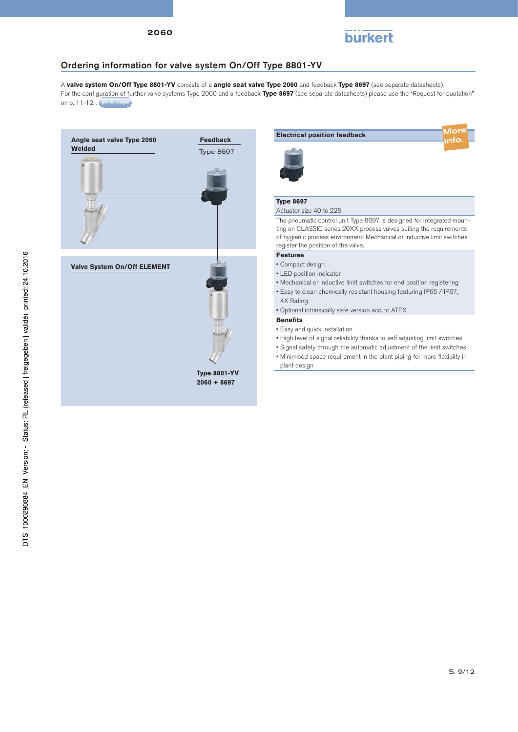

## Ordering information for valve system On/Off Type 8801-YV

A **valve system On/Off Type 8801-YV** consists of a **angle seat valve Type 2060** and feedback **Type 8697** (see separate datasheets). For the configuration of further valve systems Type 2060 and a feedback Type 8697 (see separate datasheets) please use the "Request for quotation" on p. 11-12. . go to page



| <b>Electrical position feedback</b>                                                                                                                                                                                                                           |  |
|---------------------------------------------------------------------------------------------------------------------------------------------------------------------------------------------------------------------------------------------------------------|--|
| <b>Type 8697</b>                                                                                                                                                                                                                                              |  |
| Actuator size 40 to 225                                                                                                                                                                                                                                       |  |
| The pneumatic control unit Type 8697 is designed for integrated moun-<br>ting on CLASSIC series 20XX process valves suiting the requirements<br>of hygienic process environment Mechanical or inductive limit switches<br>register the position of the valve. |  |
| <b>Features</b>                                                                                                                                                                                                                                               |  |
| • Compact design                                                                                                                                                                                                                                              |  |
| $\blacksquare$ I ED nosition indicator                                                                                                                                                                                                                        |  |

- LED position indicator
- Mechanical or inductive limit switches for end position registering
- Easy to clean chemically resistant housing featuring IP65 / IP67, 4X Rating
- Optional intrinsically safe version acc. to ATEX

### **Benefits**

- Easy and quick installation
- High level of signal reliability thanks to self adjusting limit switches
- Signal safety through the automatic adjustment of the limit switches
- Minimised space requirement in the plant piping for more flexibilty in plant design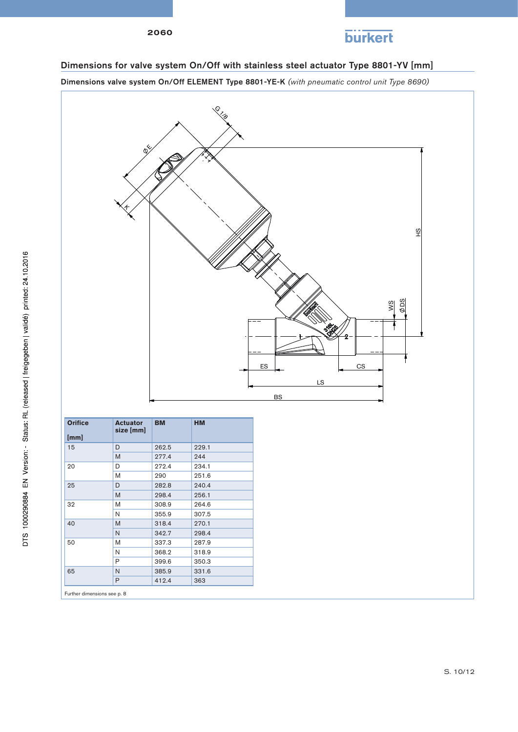

## Dimensions for valve system On/Off with stainless steel actuator Type 8801-YV [mm]

Dimensions valve system On/Off ELEMENT Type 8801-YE-K *(with pneumatic control unit Type 8690)*



| <b>Orifice</b><br>[mm] | <b>Actuator</b><br>size [mm] | <b>BM</b> | <b>HM</b> |
|------------------------|------------------------------|-----------|-----------|
| 15                     | D                            | 262.5     | 229.1     |
|                        | M                            | 277.4     | 244       |
| 20                     | D                            | 272.4     | 234.1     |
|                        | M                            | 290       | 251.6     |
| 25                     | D                            | 282.8     | 240.4     |
|                        | M                            | 298.4     | 256.1     |
| 32                     | M                            | 308.9     | 264.6     |
|                        | N                            | 355.9     | 307.5     |
| 40                     | M                            | 318.4     | 270.1     |
|                        | N                            | 342.7     | 298.4     |
| 50                     | M                            | 337.3     | 287.9     |
|                        | N                            | 368.2     | 318.9     |
|                        | P                            | 399.6     | 350.3     |
| 65                     | N                            | 385.9     | 331.6     |
|                        | P                            | 412.4     | 363       |

Further dimensions see p. 8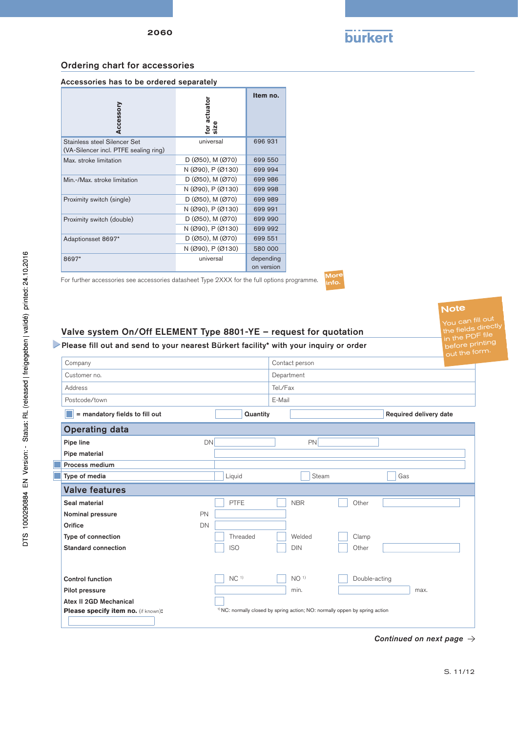

## <span id="page-10-0"></span>Ordering chart for accessories

| Accessory                                                             | for actuator<br>size   | Item no.                |
|-----------------------------------------------------------------------|------------------------|-------------------------|
| Stainless steel Silencer Set<br>(VA-Silencer incl. PTFE sealing ring) | universal              | 696 931                 |
| Max. stroke limitation                                                | $D (Ø50)$ , M $ (Ø70)$ | 699 550                 |
|                                                                       | N (Ø90), P (Ø130)      | 699 994                 |
| Min.-/Max. stroke limitation                                          | $D (Ø50)$ , M $ (Ø70)$ | 699 986                 |
|                                                                       | N (Ø90), P (Ø130)      | 699 998                 |
| Proximity switch (single)                                             | $D (Ø50)$ , M $ (Ø70)$ | 699 989                 |
|                                                                       | N (Ø90), P (Ø130)      | 699 991                 |
| Proximity switch (double)                                             | $D (Ø50)$ , M $ (Ø70)$ | 699 990                 |
|                                                                       | N (Ø90), P (Ø130)      | 699 992                 |
| Adaptionsset 8697*                                                    | $D (Ø50)$ , M $ (Ø70)$ | 699 551                 |
|                                                                       | N (Ø90), P (Ø130)      | 580 000                 |
| 8697*                                                                 | universal              | depending<br>on version |

For further accessories see accessories datasheet Type 2XXX for the full options programme.

More<br><sub>linfo.</sub>

## Valve system On/Off ELEMENT Type 8801-YE – request for quotation

Please fill out and send to your nearest Bürkert facility\* with your inquiry or order

|                                     |                 |                                                                                         |               | out the form           |  |
|-------------------------------------|-----------------|-----------------------------------------------------------------------------------------|---------------|------------------------|--|
| Company                             |                 | Contact person                                                                          |               |                        |  |
| Customer no.                        |                 | Department                                                                              |               |                        |  |
| Address                             |                 | Tel./Fax                                                                                |               |                        |  |
| Postcode/town                       |                 | E-Mail                                                                                  |               |                        |  |
| = mandatory fields to fill out      |                 | Quantity                                                                                |               | Required delivery date |  |
| <b>Operating data</b>               |                 |                                                                                         |               |                        |  |
| Pipe line                           | <b>DN</b>       | <b>PN</b>                                                                               |               |                        |  |
| Pipe material                       |                 |                                                                                         |               |                        |  |
| Process medium                      |                 |                                                                                         |               |                        |  |
| Type of media                       | Liquid          | Steam                                                                                   | Gas           |                        |  |
| <b>Valve features</b>               |                 |                                                                                         |               |                        |  |
| Seal material                       | <b>PTFE</b>     | <b>NBR</b>                                                                              | Other         |                        |  |
| Nominal pressure                    | PN              |                                                                                         |               |                        |  |
| Orifice                             | DN              |                                                                                         |               |                        |  |
| Type of connection                  | Threaded        | Welded                                                                                  | Clamp         |                        |  |
| Standard connection                 | <b>ISO</b>      | <b>DIN</b>                                                                              | Other         |                        |  |
|                                     |                 |                                                                                         |               |                        |  |
| <b>Control function</b>             | NC <sup>1</sup> | NO <sup>1</sup>                                                                         | Double-acting |                        |  |
| Pilot pressure                      |                 | min.                                                                                    |               | max.                   |  |
| Atex II 2GD Mechanical              |                 |                                                                                         |               |                        |  |
| Please specify item no. (if known): |                 | <sup>1)</sup> NC: normally closed by spring action; NO: normally oppen by spring action |               |                        |  |

Note

You can fill out  $t$  the fields directly  $\frac{1}{10}$  the PDF file before printing